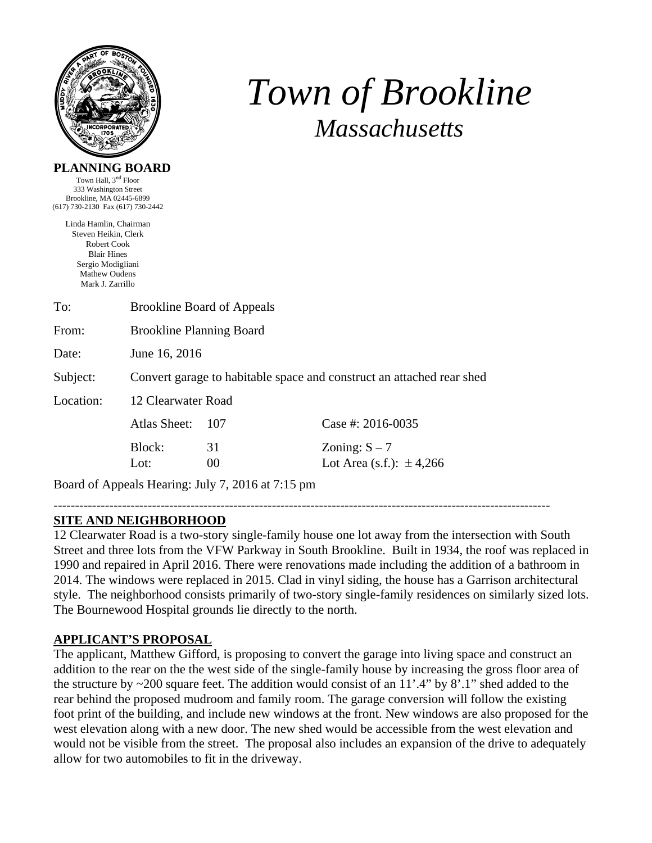

# *Town of Brookline Massachusetts*

### **PLANNING BOARD**

Town Hall, 3<sup>nd</sup> Floor 333 Washington Street Brookline, MA 02445-6899 (617) 730-2130 Fax (617) 730-2442

> Linda Hamlin, Chairman Steven Heikin, Clerk Robert Cook Blair Hines Sergio Modigliani Mathew Oudens Mark J. Zarrillo

| To:       | <b>Brookline Board of Appeals</b>                                     |               |                                                 |  |  |
|-----------|-----------------------------------------------------------------------|---------------|-------------------------------------------------|--|--|
| From:     | <b>Brookline Planning Board</b>                                       |               |                                                 |  |  |
| Date:     | June 16, 2016                                                         |               |                                                 |  |  |
| Subject:  | Convert garage to habitable space and construct an attached rear shed |               |                                                 |  |  |
| Location: | 12 Clearwater Road                                                    |               |                                                 |  |  |
|           | Atlas Sheet:                                                          | 107           | Case #: $2016 - 0035$                           |  |  |
|           | Block:<br>Lot:                                                        | 31<br>$00 \,$ | Zoning: $S - 7$<br>Lot Area (s.f.): $\pm$ 4,266 |  |  |

Board of Appeals Hearing: July 7, 2016 at 7:15 pm

#### -------------------------------------------------------------------------------------------------------------------- **SITE AND NEIGHBORHOOD**

12 Clearwater Road is a two-story single-family house one lot away from the intersection with South Street and three lots from the VFW Parkway in South Brookline. Built in 1934, the roof was replaced in 1990 and repaired in April 2016. There were renovations made including the addition of a bathroom in 2014. The windows were replaced in 2015. Clad in vinyl siding, the house has a Garrison architectural style. The neighborhood consists primarily of two-story single-family residences on similarly sized lots. The Bournewood Hospital grounds lie directly to the north.

# **APPLICANT'S PROPOSAL**

The applicant, Matthew Gifford, is proposing to convert the garage into living space and construct an addition to the rear on the the west side of the single-family house by increasing the gross floor area of the structure by  $\sim$ 200 square feet. The addition would consist of an 11'.4" by 8'.1" shed added to the rear behind the proposed mudroom and family room. The garage conversion will follow the existing foot print of the building, and include new windows at the front. New windows are also proposed for the west elevation along with a new door. The new shed would be accessible from the west elevation and would not be visible from the street. The proposal also includes an expansion of the drive to adequately allow for two automobiles to fit in the driveway.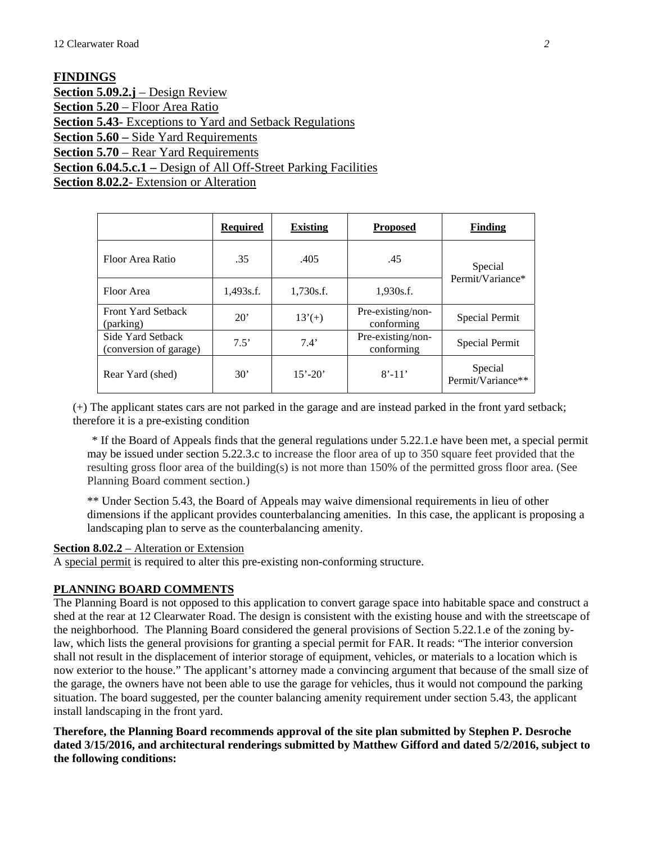**FINDINGS Section 5.09.2.j** – Design Review **Section 5.20** – Floor Area Ratio **Section 5.43**- Exceptions to Yard and Setback Regulations **Section 5.60 –** Side Yard Requirements **Section 5.70** – Rear Yard Requirements **Section 6.04.5.c.1 –** Design of All Off-Street Parking Facilities **Section 8.02.2- Extension or Alteration** 

|                                             | <b>Required</b> | <b>Existing</b> | <b>Proposed</b>                 | <b>Finding</b>               |
|---------------------------------------------|-----------------|-----------------|---------------------------------|------------------------------|
| Floor Area Ratio                            | .35             | .405            | .45                             | Special<br>Permit/Variance*  |
| Floor Area                                  | 1,493s.f.       | 1,730s.f.       | 1,930s.f.                       |                              |
| <b>Front Yard Setback</b><br>(parking)      | $20^{\circ}$    | $13'(+)$        | Pre-existing/non-<br>conforming | Special Permit               |
| Side Yard Setback<br>(conversion of garage) | 7.5'            | 7.4'            | Pre-existing/non-<br>conforming | Special Permit               |
| Rear Yard (shed)                            | 30'             | $15' - 20'$     | $8' - 11'$                      | Special<br>Permit/Variance** |

(+) The applicant states cars are not parked in the garage and are instead parked in the front yard setback; therefore it is a pre-existing condition

\* If the Board of Appeals finds that the general regulations under 5.22.1.e have been met, a special permit may be issued under section 5.22.3.c to increase the floor area of up to 350 square feet provided that the resulting gross floor area of the building(s) is not more than 150% of the permitted gross floor area. (See Planning Board comment section.)

\*\* Under Section 5.43, the Board of Appeals may waive dimensional requirements in lieu of other dimensions if the applicant provides counterbalancing amenities. In this case, the applicant is proposing a landscaping plan to serve as the counterbalancing amenity.

# **Section 8.02.2** – Alteration or Extension

A special permit is required to alter this pre-existing non-conforming structure.

# **PLANNING BOARD COMMENTS**

The Planning Board is not opposed to this application to convert garage space into habitable space and construct a shed at the rear at 12 Clearwater Road. The design is consistent with the existing house and with the streetscape of the neighborhood. The Planning Board considered the general provisions of Section 5.22.1.e of the zoning bylaw, which lists the general provisions for granting a special permit for FAR. It reads: "The interior conversion shall not result in the displacement of interior storage of equipment, vehicles, or materials to a location which is now exterior to the house." The applicant's attorney made a convincing argument that because of the small size of the garage, the owners have not been able to use the garage for vehicles, thus it would not compound the parking situation. The board suggested, per the counter balancing amenity requirement under section 5.43, the applicant install landscaping in the front yard.

**Therefore, the Planning Board recommends approval of the site plan submitted by Stephen P. Desroche dated 3/15/2016, and architectural renderings submitted by Matthew Gifford and dated 5/2/2016, subject to the following conditions:**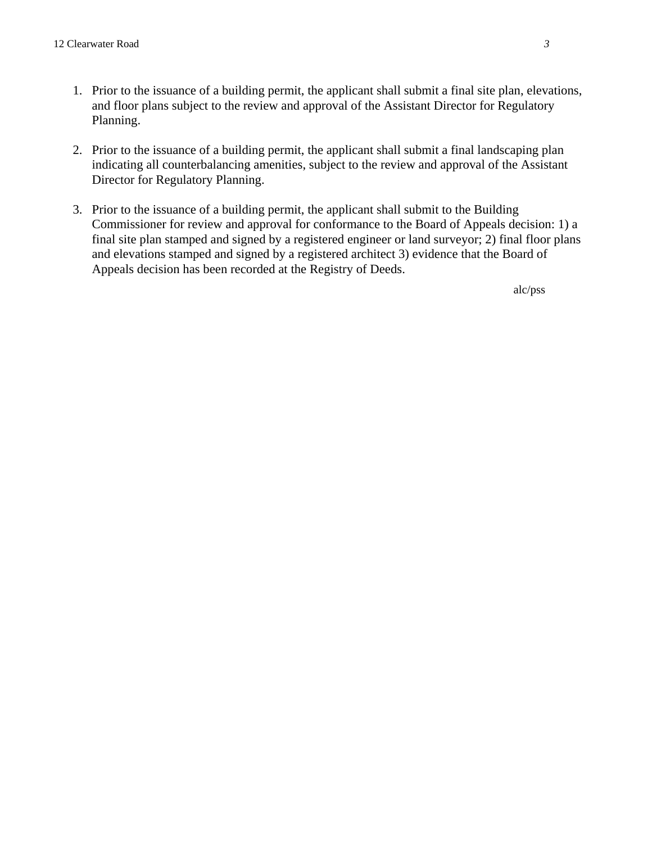- 1. Prior to the issuance of a building permit, the applicant shall submit a final site plan, elevations, and floor plans subject to the review and approval of the Assistant Director for Regulatory Planning.
- 2. Prior to the issuance of a building permit, the applicant shall submit a final landscaping plan indicating all counterbalancing amenities, subject to the review and approval of the Assistant Director for Regulatory Planning.
- 3. Prior to the issuance of a building permit, the applicant shall submit to the Building Commissioner for review and approval for conformance to the Board of Appeals decision: 1) a final site plan stamped and signed by a registered engineer or land surveyor; 2) final floor plans and elevations stamped and signed by a registered architect 3) evidence that the Board of Appeals decision has been recorded at the Registry of Deeds.

alc/pss